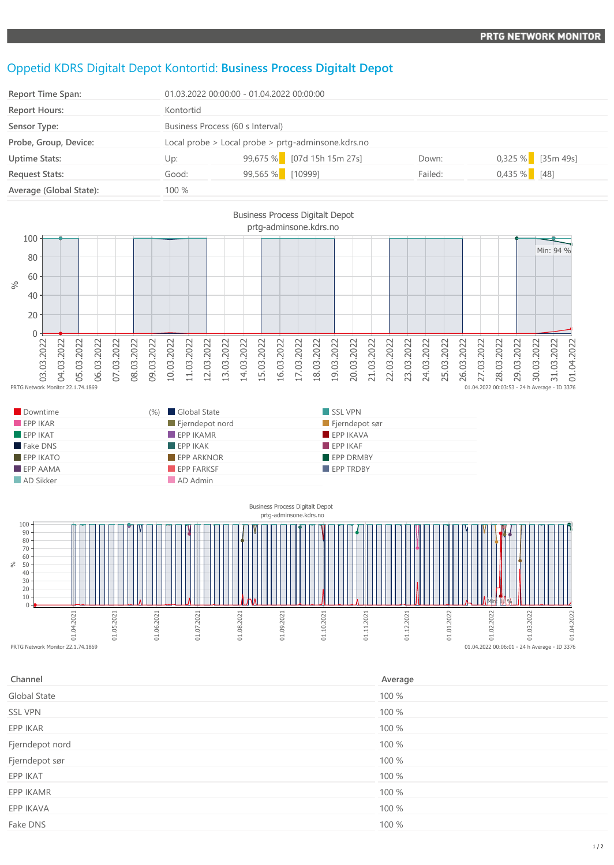## Oppetid KDRS Digitalt Depot Kontortid: **Business Process Digitalt Depot**

EPP AAMA EPP FARKSF EPP FARKSF EPP TRDBY

**AD Sikker AD Admin** 

| Report Time Span:       | 01.03.2022 00:00:00 - 01.04.2022 00:00:00          |                              |         |                     |  |
|-------------------------|----------------------------------------------------|------------------------------|---------|---------------------|--|
| <b>Report Hours:</b>    | Kontortid                                          |                              |         |                     |  |
| Sensor Type:            | Business Process (60 s Interval)                   |                              |         |                     |  |
| Probe, Group, Device:   | Local probe > Local probe > prtg-adminsone.kdrs.no |                              |         |                     |  |
| <b>Uptime Stats:</b>    | Up:                                                | $99,675\%$ [07d 15h 15m 27s] | Down:   | $0,325\%$ [35m 49s] |  |
| <b>Request Stats:</b>   | Good:                                              | 99,565 % [10999]             | Failed: | $0,435\%$ [48]      |  |
| Average (Global State): | 100 %                                              |                              |         |                     |  |





| Channel         | Average |
|-----------------|---------|
| Global State    | 100 %   |
| <b>SSL VPN</b>  | 100 %   |
| EPP IKAR        | 100 %   |
| Fjerndepot nord | 100 %   |
| Fjerndepot sør  | 100 %   |
| EPP IKAT        | 100 %   |
| EPP IKAMR       | 100 %   |
| EPP IKAVA       | 100 %   |
| Fake DNS        | 100 %   |
|                 |         |